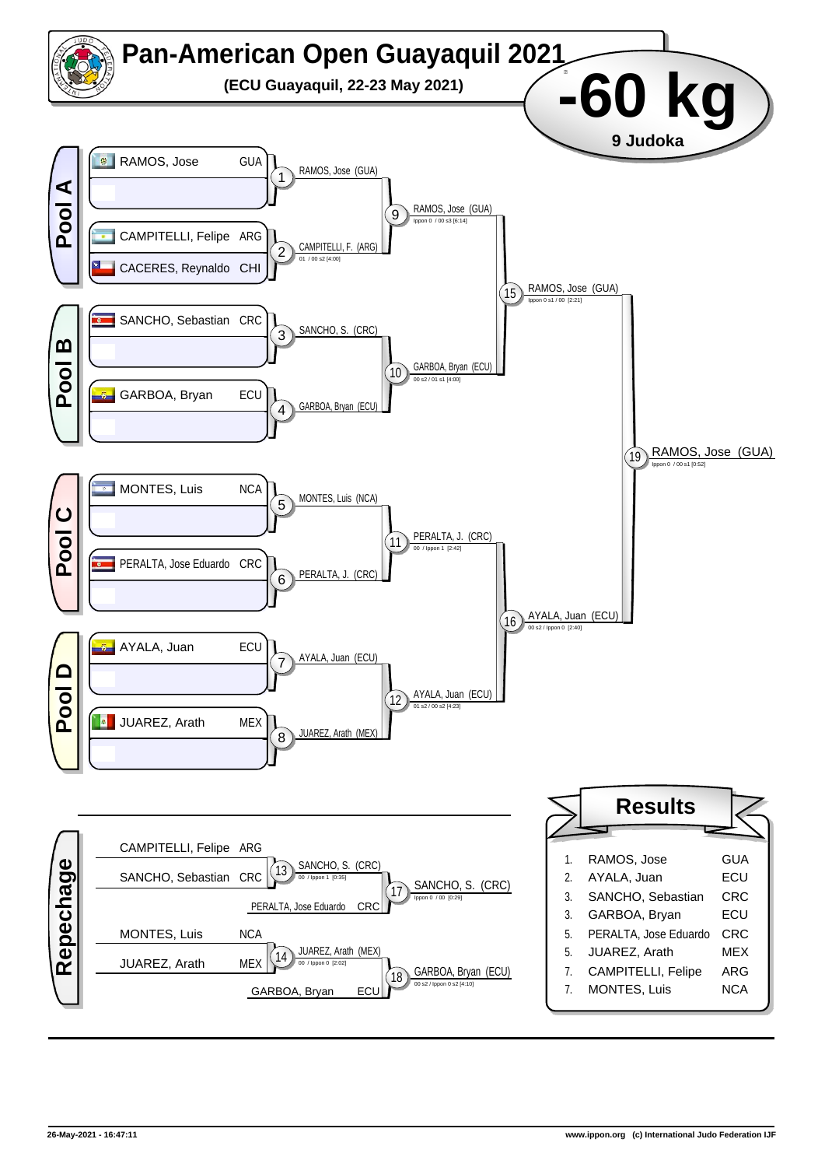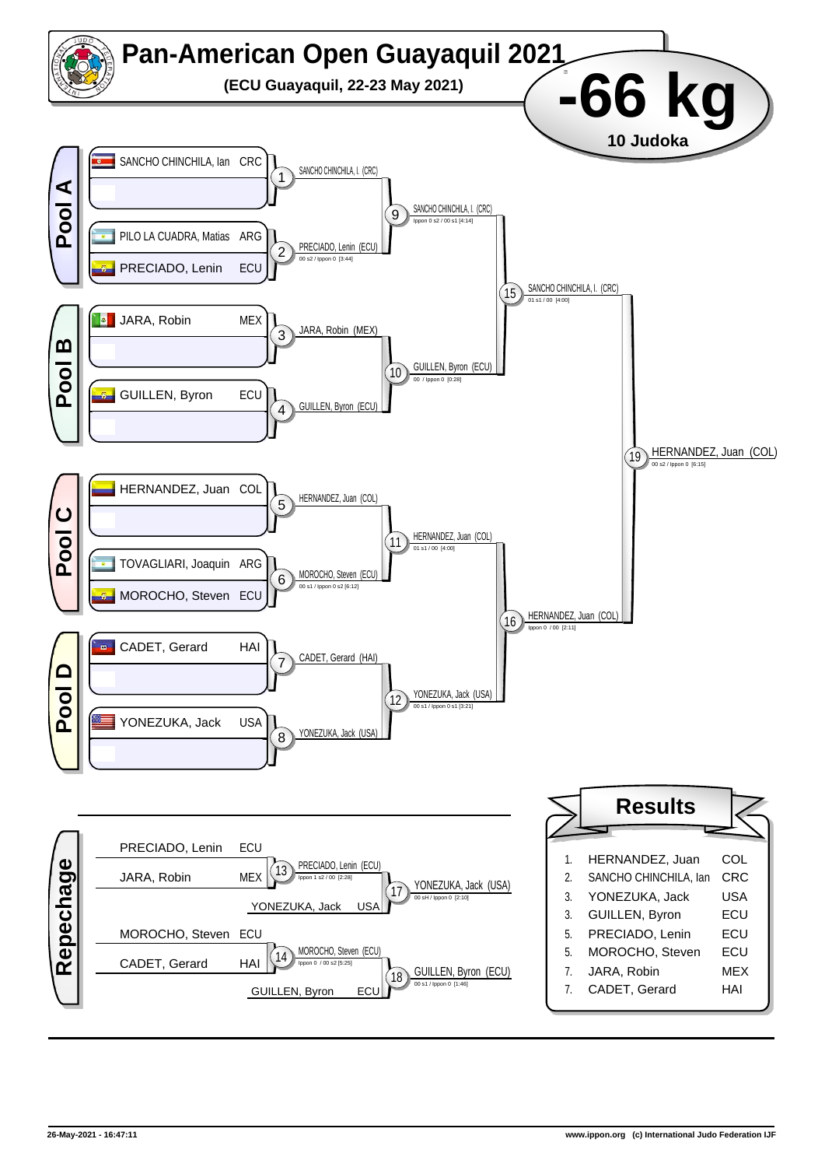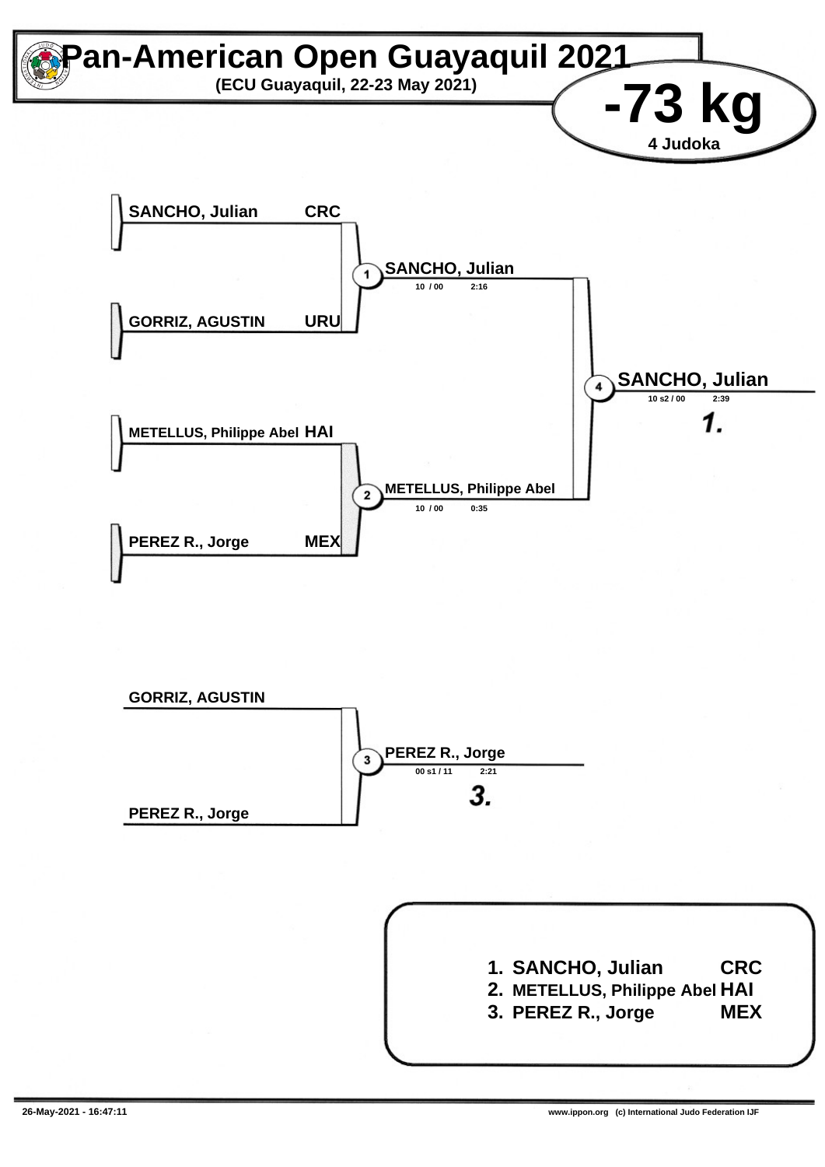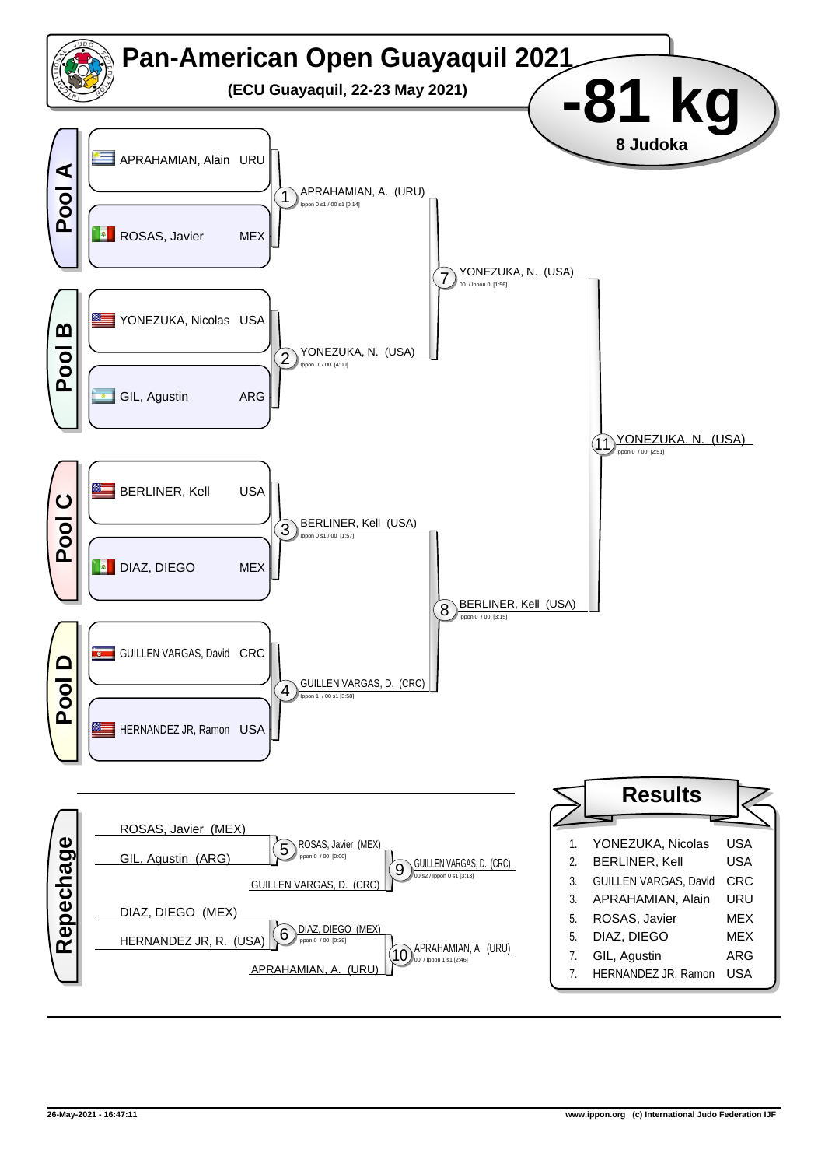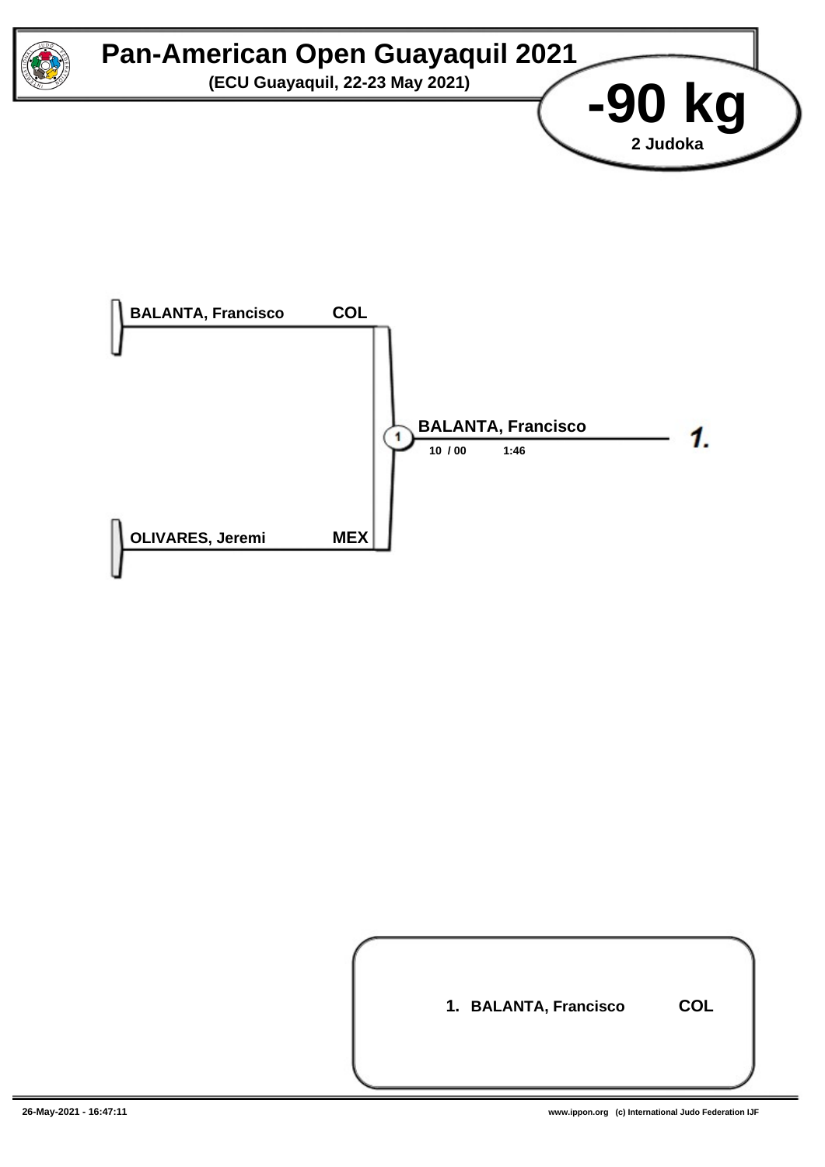



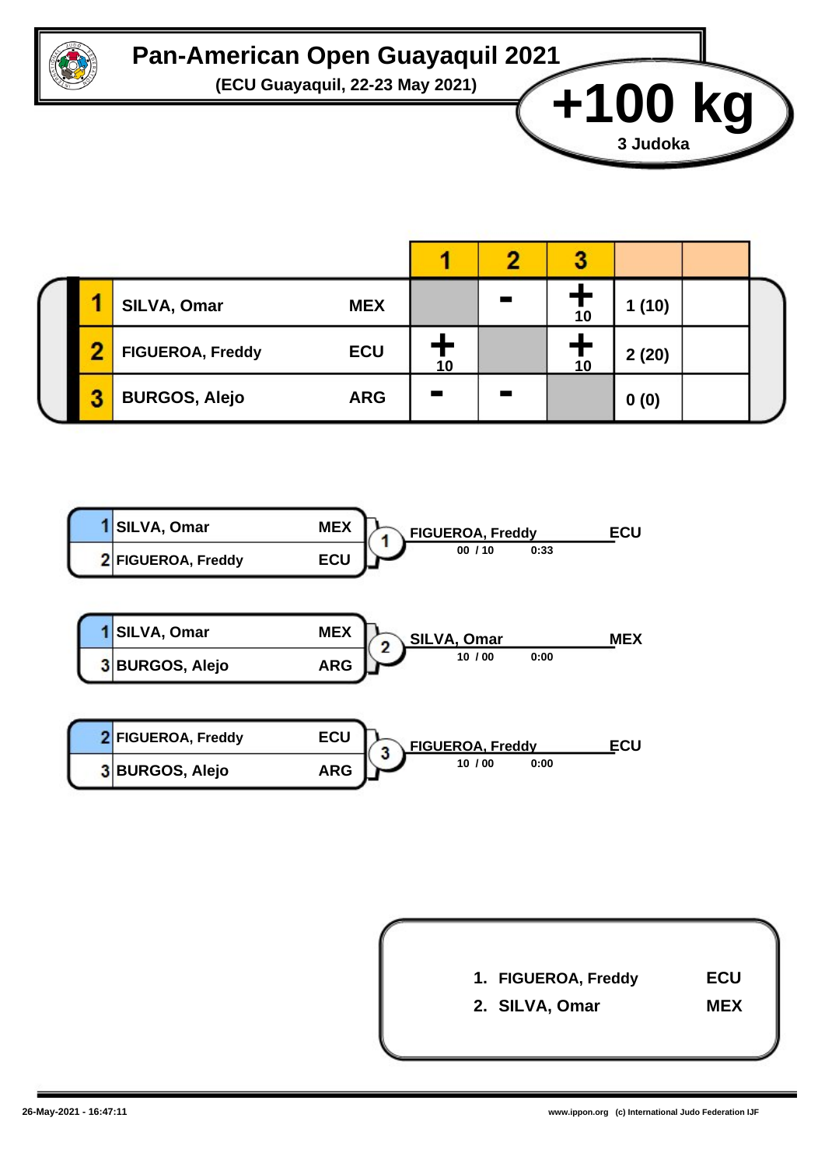

## **Pan-American Open Guayaquil 2021**

**(ECU Guayaquil, 22-23 May 2021) +100 kg**

|   | SILVA, Omar<br><b>MEX</b>             |    | 10 | 1(10) |  |
|---|---------------------------------------|----|----|-------|--|
| œ | <b>ECU</b><br><b>FIGUEROA, Freddy</b> | 10 | 10 | 2(20) |  |
| 3 | <b>BURGOS, Alejo</b><br><b>ARG</b>    |    |    | 0(0)  |  |





**3 Judoka**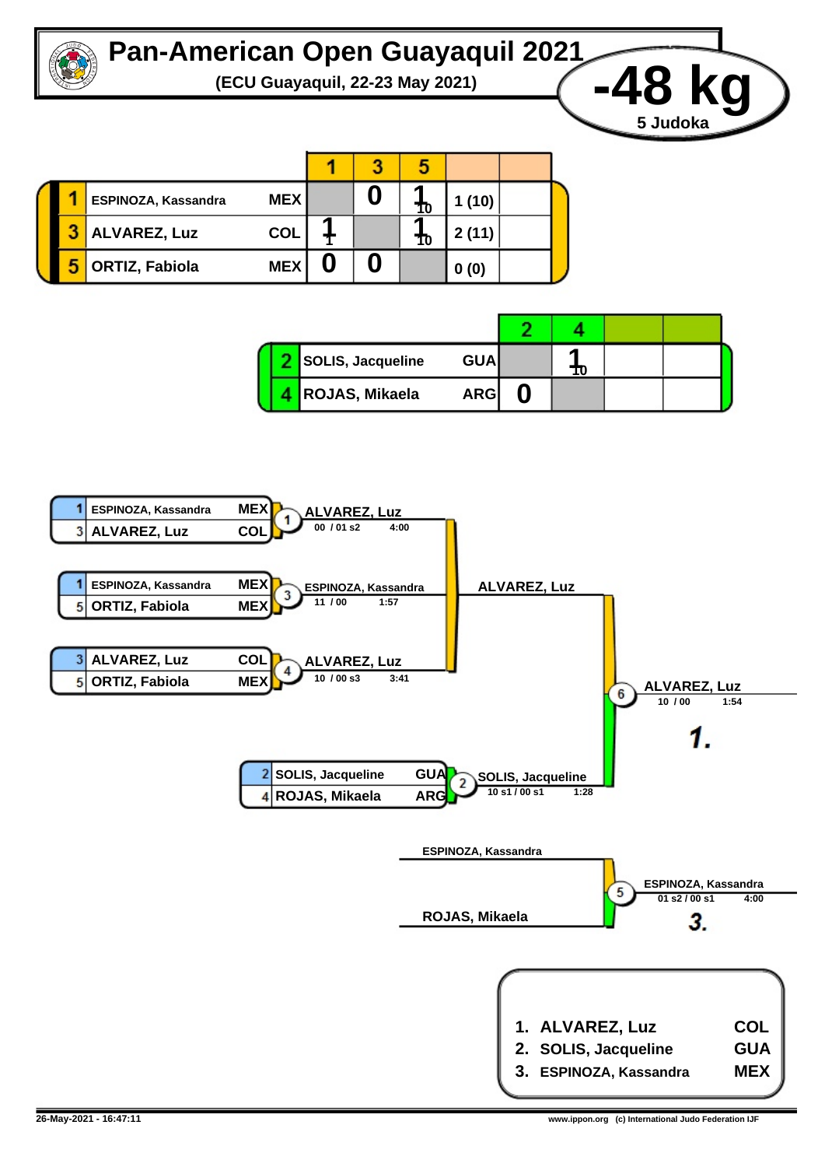

## **Pan-American Open Guayaquil 2021**



|  | ESPINOZA, Kassandra   | <b>MEX</b> |  | 10 | 1(10) |  |
|--|-----------------------|------------|--|----|-------|--|
|  | <b>ALVAREZ, Luz</b>   | <b>COL</b> |  | 10 | 2(11) |  |
|  | <b>ORTIZ, Fabiola</b> | <b>MEX</b> |  |    | 0(0)  |  |

|  | SOLIS, Jacqueline | <b>GUA</b> | 10 |  |
|--|-------------------|------------|----|--|
|  | ROJAS, Mikaela    | <b>ARG</b> |    |  |

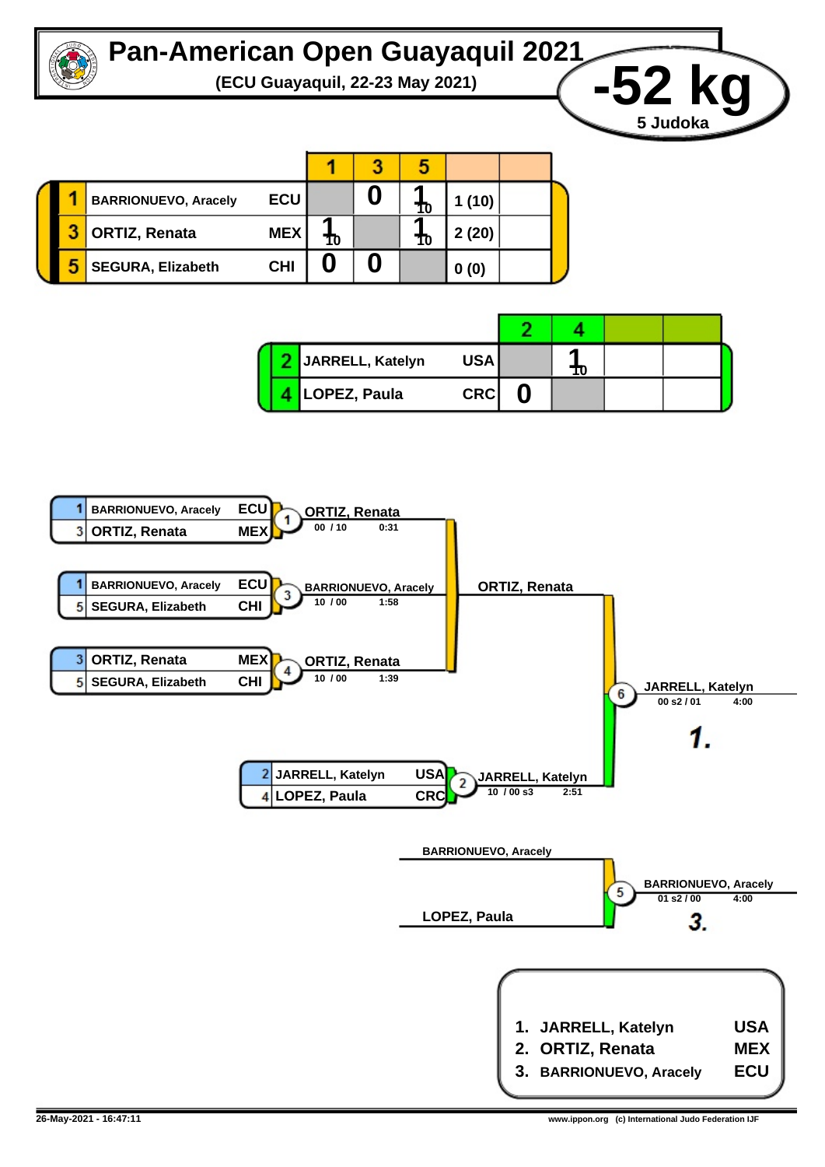

## **Pan-American Open Guayaquil 2021**



|  | <b>BARRIONUEVO, Aracely</b> | <b>ECU</b> |    | 10 | 1(10) |  |
|--|-----------------------------|------------|----|----|-------|--|
|  | <b>ORTIZ, Renata</b>        | <b>MEX</b> | 10 | 10 | 2(20) |  |
|  | <b>SEGURA, Elizabeth</b>    | <b>CHI</b> |    |    | 0(0)  |  |

|  | JARRELL, Katelyn | USA        | 10 |  |
|--|------------------|------------|----|--|
|  | LOPEZ, Paula     | <b>CRC</b> |    |  |

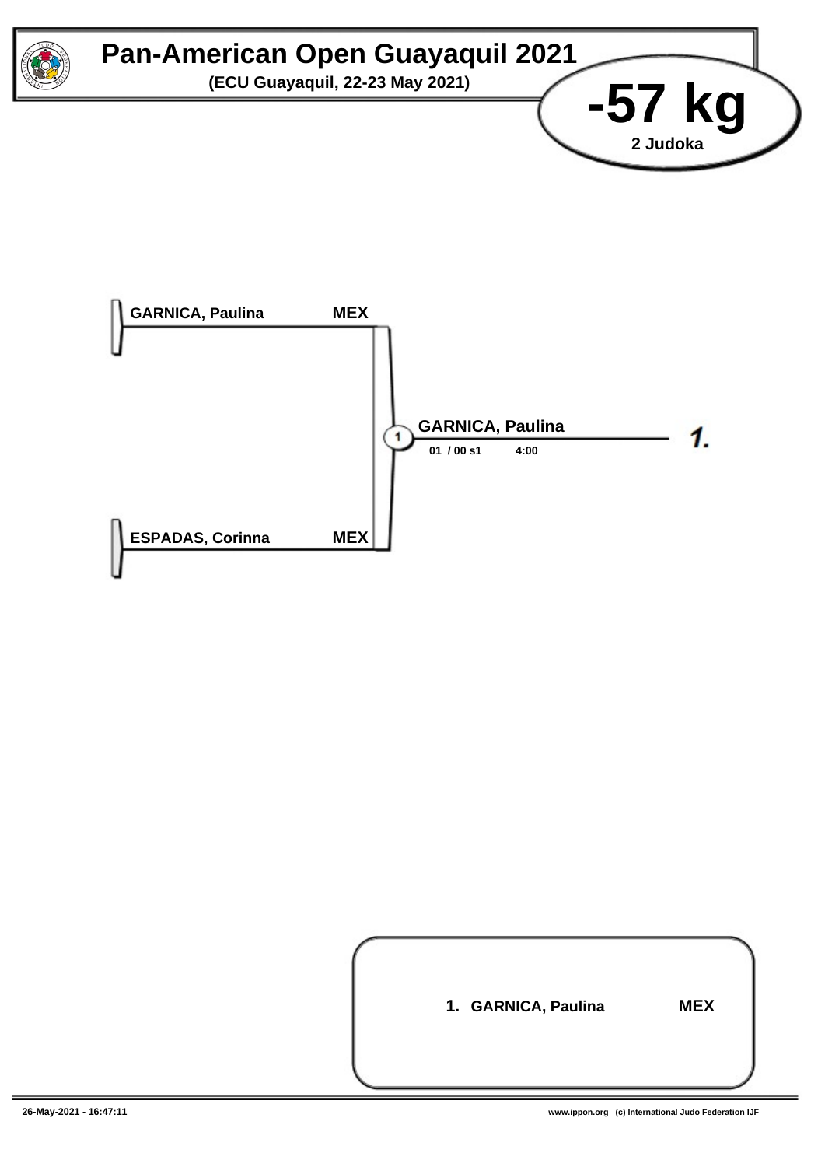



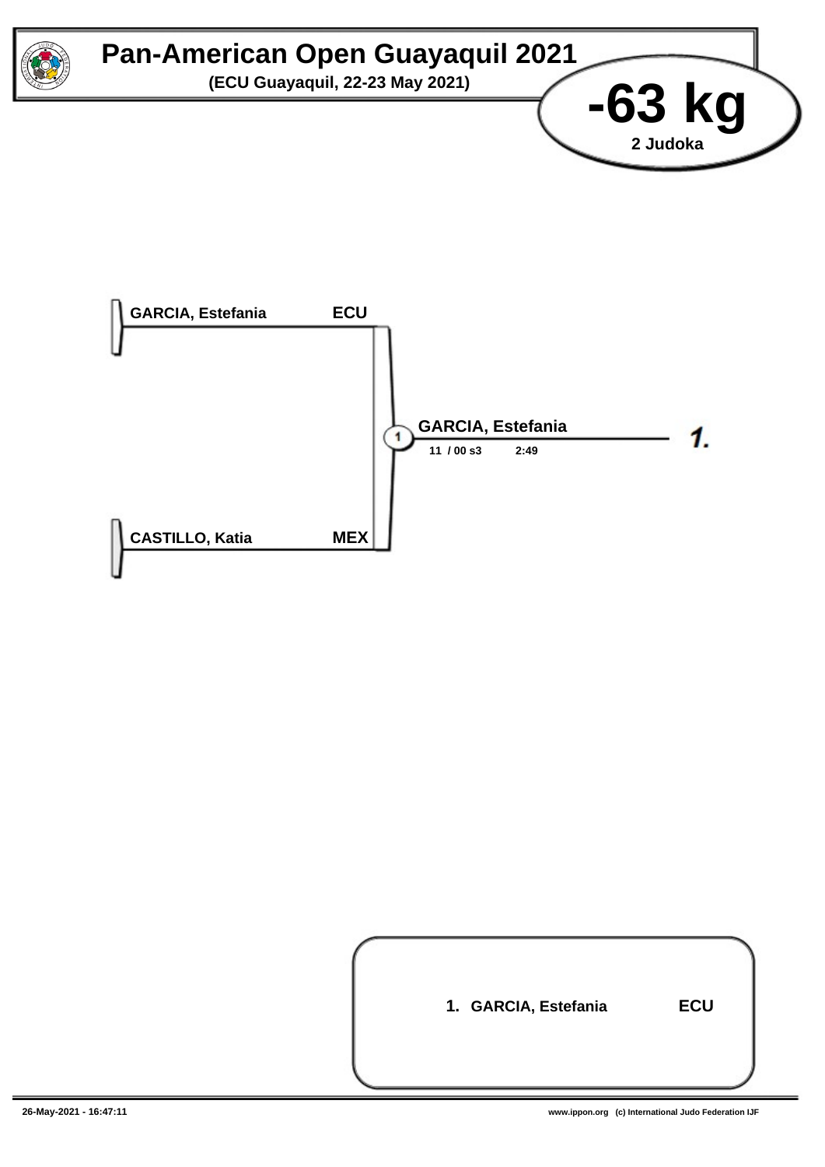



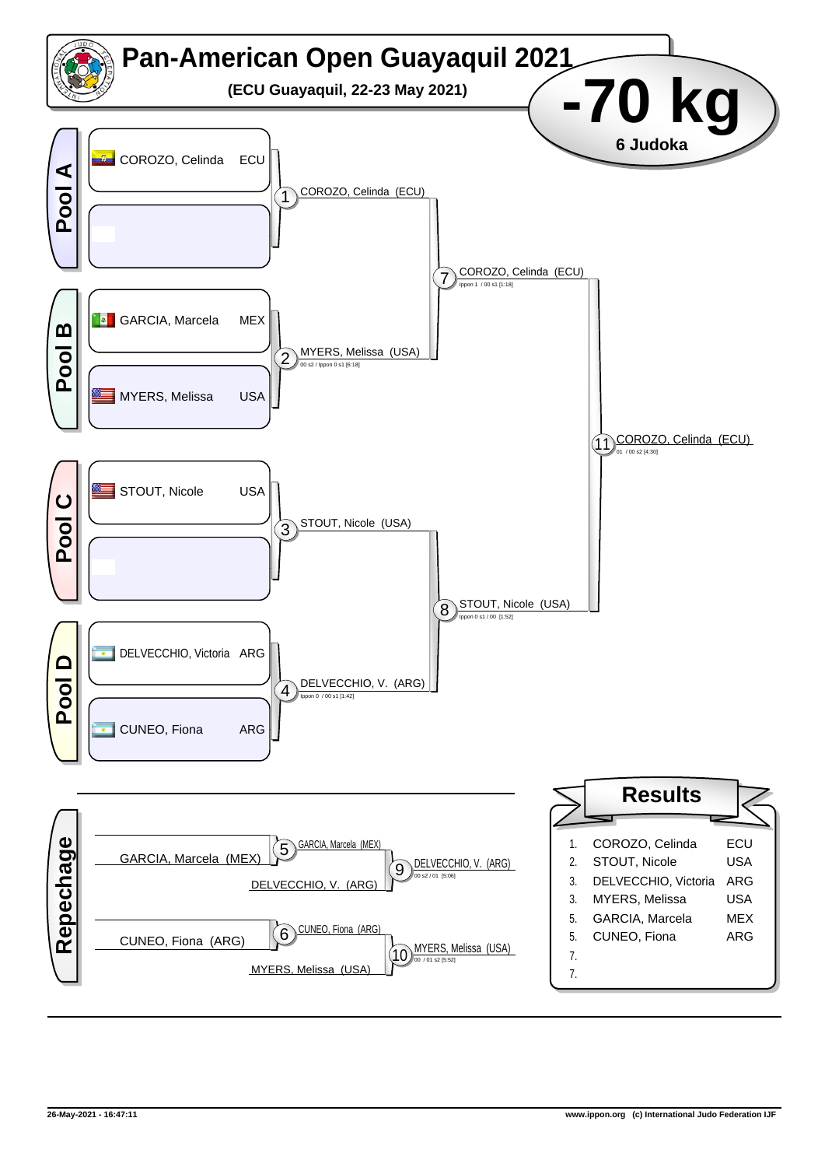